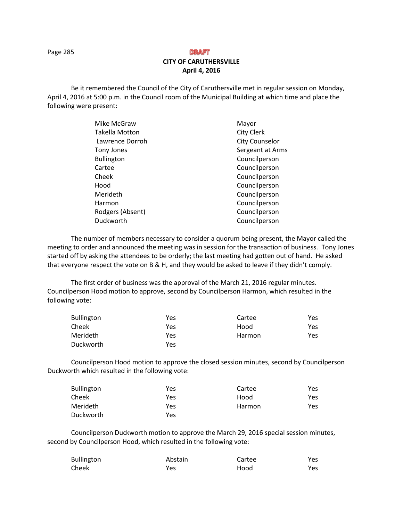Page 285

# DRAFT **CITY OF CARUTHERSVILLE April 4, 2016**

Be it remembered the Council of the City of Caruthersville met in regular session on Monday, April 4, 2016 at 5:00 p.m. in the Council room of the Municipal Building at which time and place the following were present:

| <b>City Clerk</b><br><b>City Counselor</b> |
|--------------------------------------------|
|                                            |
|                                            |
| Sergeant at Arms                           |
| Councilperson                              |
| Councilperson                              |
| Councilperson                              |
| Councilperson                              |
| Councilperson                              |
| Councilperson                              |
| Councilperson                              |
| Councilperson                              |
|                                            |

The number of members necessary to consider a quorum being present, the Mayor called the meeting to order and announced the meeting was in session for the transaction of business. Tony Jones started off by asking the attendees to be orderly; the last meeting had gotten out of hand. He asked that everyone respect the vote on B & H, and they would be asked to leave if they didn't comply.

The first order of business was the approval of the March 21, 2016 regular minutes. Councilperson Hood motion to approve, second by Councilperson Harmon, which resulted in the following vote:

| <b>Bullington</b> | Yes | Cartee | Yes. |
|-------------------|-----|--------|------|
| Cheek             | Yes | Hood   | Yes. |
| Merideth          | Yes | Harmon | Yes. |
| Duckworth         | Yes |        |      |

 Councilperson Hood motion to approve the closed session minutes, second by Councilperson Duckworth which resulted in the following vote:

| Bullington | Yes | Cartee | Yes |
|------------|-----|--------|-----|
| Cheek      | Yes | Hood   | Yes |
| Merideth   | Yes | Harmon | Yes |
| Duckworth  | Yes |        |     |

Councilperson Duckworth motion to approve the March 29, 2016 special session minutes, second by Councilperson Hood, which resulted in the following vote:

| <b>Bullington</b> | Abstain | Cartee | Yes |
|-------------------|---------|--------|-----|
| Cheek             | Yes     | Hood   | Yes |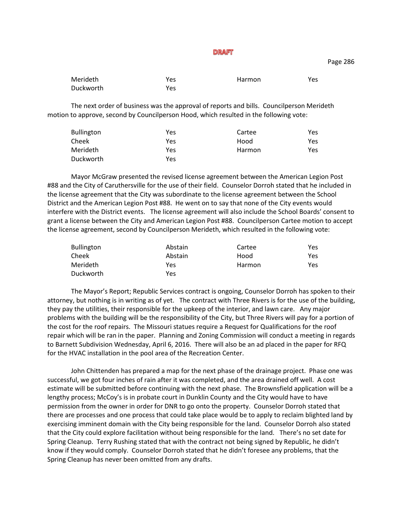Merideth **Yes** Yes Harmon Yes Duckworth Yes

The next order of business was the approval of reports and bills. Councilperson Merideth motion to approve, second by Councilperson Hood, which resulted in the following vote:

| Yes | Cartee | Yes |
|-----|--------|-----|
| Yes | Hood   | Yes |
| Yes | Harmon | Yes |
| Yes |        |     |
|     |        |     |

Mayor McGraw presented the revised license agreement between the American Legion Post #88 and the City of Caruthersville for the use of their field. Counselor Dorroh stated that he included in the license agreement that the City was subordinate to the license agreement between the School District and the American Legion Post #88. He went on to say that none of the City events would interfere with the District events. The license agreement will also include the School Boards' consent to grant a license between the City and American Legion Post #88. Councilperson Cartee motion to accept the license agreement, second by Councilperson Merideth, which resulted in the following vote:

| <b>Bullington</b> | Abstain | Cartee | Yes |
|-------------------|---------|--------|-----|
| Cheek             | Abstain | Hood   | Yes |
| Merideth          | Yes.    | Harmon | Yes |
| Duckworth         | Yes     |        |     |

The Mayor's Report; Republic Services contract is ongoing, Counselor Dorroh has spoken to their attorney, but nothing is in writing as of yet. The contract with Three Rivers is for the use of the building, they pay the utilities, their responsible for the upkeep of the interior, and lawn care. Any major problems with the building will be the responsibility of the City, but Three Rivers will pay for a portion of the cost for the roof repairs. The Missouri statues require a Request for Qualifications for the roof repair which will be ran in the paper. Planning and Zoning Commission will conduct a meeting in regards to Barnett Subdivision Wednesday, April 6, 2016. There will also be an ad placed in the paper for RFQ for the HVAC installation in the pool area of the Recreation Center.

John Chittenden has prepared a map for the next phase of the drainage project. Phase one was successful, we got four inches of rain after it was completed, and the area drained off well. A cost estimate will be submitted before continuing with the next phase. The Brownsfield application will be a lengthy process; McCoy's is in probate court in Dunklin County and the City would have to have permission from the owner in order for DNR to go onto the property. Counselor Dorroh stated that there are processes and one process that could take place would be to apply to reclaim blighted land by exercising imminent domain with the City being responsible for the land. Counselor Dorroh also stated that the City could explore facilitation without being responsible for the land. There's no set date for Spring Cleanup. Terry Rushing stated that with the contract not being signed by Republic, he didn't know if they would comply. Counselor Dorroh stated that he didn't foresee any problems, that the Spring Cleanup has never been omitted from any drafts.

Page 286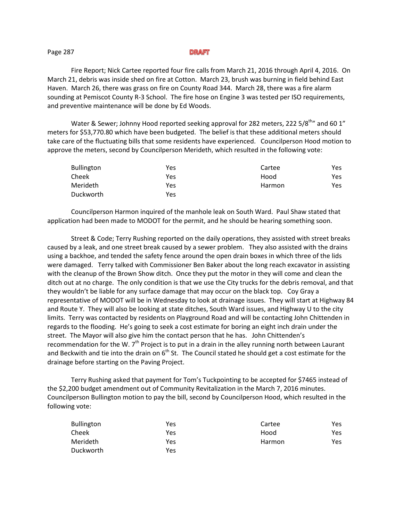#### Page 287

Fire Report; Nick Cartee reported four fire calls from March 21, 2016 through April 4, 2016. On March 21, debris was inside shed on fire at Cotton. March 23, brush was burning in field behind East Haven. March 26, there was grass on fire on County Road 344. March 28, there was a fire alarm sounding at Pemiscot County R-3 School. The fire hose on Engine 3 was tested per ISO requirements, and preventive maintenance will be done by Ed Woods.

Water & Sewer; Johnny Hood reported seeking approval for 282 meters, 222 5/8<sup>th</sup> and 60 1<sup>"</sup> meters for \$53,770.80 which have been budgeted. The belief is that these additional meters should take care of the fluctuating bills that some residents have experienced. Councilperson Hood motion to approve the meters, second by Councilperson Merideth, which resulted in the following vote:

| <b>Bullington</b> | Yes        | Cartee | Yes. |
|-------------------|------------|--------|------|
| Cheek             | Yes        | Hood   | Yes. |
| Merideth          | Yes        | Harmon | Yes. |
| Duckworth         | <b>Yes</b> |        |      |

Councilperson Harmon inquired of the manhole leak on South Ward. Paul Shaw stated that application had been made to MODOT for the permit, and he should be hearing something soon.

Street & Code; Terry Rushing reported on the daily operations, they assisted with street breaks caused by a leak, and one street break caused by a sewer problem. They also assisted with the drains using a backhoe, and tended the safety fence around the open drain boxes in which three of the lids were damaged. Terry talked with Commissioner Ben Baker about the long reach excavator in assisting with the cleanup of the Brown Show ditch. Once they put the motor in they will come and clean the ditch out at no charge. The only condition is that we use the City trucks for the debris removal, and that they wouldn't be liable for any surface damage that may occur on the black top. Coy Gray a representative of MODOT will be in Wednesday to look at drainage issues. They will start at Highway 84 and Route Y. They will also be looking at state ditches, South Ward issues, and Highway U to the city limits. Terry was contacted by residents on Playground Road and will be contacting John Chittenden in regards to the flooding. He's going to seek a cost estimate for boring an eight inch drain under the street. The Mayor will also give him the contact person that he has. John Chittenden's recommendation for the W. 7<sup>th</sup> Project is to put in a drain in the alley running north between Laurant and Beckwith and tie into the drain on  $6<sup>th</sup>$  St. The Council stated he should get a cost estimate for the drainage before starting on the Paving Project.

Terry Rushing asked that payment for Tom's Tuckpointing to be accepted for \$7465 instead of the \$2,200 budget amendment out of Community Revitalization in the March 7, 2016 minutes. Councilperson Bullington motion to pay the bill, second by Councilperson Hood, which resulted in the following vote:

| <b>Bullington</b> | Yes | Cartee | Yes. |
|-------------------|-----|--------|------|
| Cheek             | Yes | Hood   | Yes. |
| Merideth          | Yes | Harmon | Yes. |
| Duckworth         | Yes |        |      |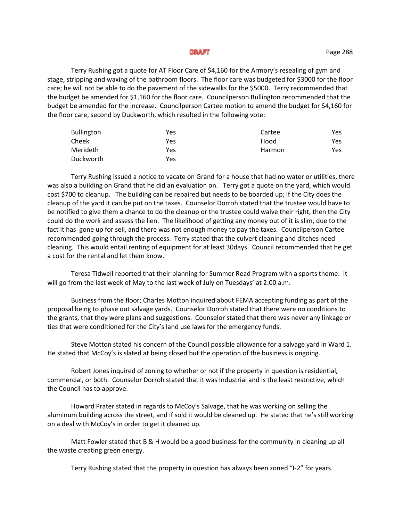Terry Rushing got a quote for AT Floor Care of \$4,160 for the Armory's resealing of gym and stage, stripping and waxing of the bathroom floors. The floor care was budgeted for \$3000 for the floor care; he will not be able to do the pavement of the sidewalks for the \$5000. Terry recommended that the budget be amended for \$1,160 for the floor care. Councilperson Bullington recommended that the budget be amended for the increase. Councilperson Cartee motion to amend the budget for \$4,160 for the floor care, second by Duckworth, which resulted in the following vote:

| <b>Bullington</b> | Yes | Cartee | Yes |
|-------------------|-----|--------|-----|
| Cheek             | Yes | Hood   | Yes |
| Merideth          | Yes | Harmon | Yes |
| Duckworth         | Yes |        |     |

Terry Rushing issued a notice to vacate on Grand for a house that had no water or utilities, there was also a building on Grand that he did an evaluation on. Terry got a quote on the yard, which would cost \$700 to cleanup. The building can be repaired but needs to be boarded up; if the City does the cleanup of the yard it can be put on the taxes. Counselor Dorroh stated that the trustee would have to be notified to give them a chance to do the cleanup or the trustee could waive their right, then the City could do the work and assess the lien. The likelihood of getting any money out of it is slim, due to the fact it has gone up for sell, and there was not enough money to pay the taxes. Councilperson Cartee recommended going through the process. Terry stated that the culvert cleaning and ditches need cleaning. This would entail renting of equipment for at least 30days. Council recommended that he get a cost for the rental and let them know.

Teresa Tidwell reported that their planning for Summer Read Program with a sports theme. It will go from the last week of May to the last week of July on Tuesdays' at 2:00 a.m.

Business from the floor; Charles Motton inquired about FEMA accepting funding as part of the proposal being to phase out salvage yards. Counselor Dorroh stated that there were no conditions to the grants, that they were plans and suggestions. Counselor stated that there was never any linkage or ties that were conditioned for the City's land use laws for the emergency funds.

Steve Motton stated his concern of the Council possible allowance for a salvage yard in Ward 1. He stated that McCoy's is slated at being closed but the operation of the business is ongoing.

Robert Jones inquired of zoning to whether or not if the property in question is residential, commercial, or both. Counselor Dorroh stated that it was Industrial and is the least restrictive, which the Council has to approve.

Howard Prater stated in regards to McCoy's Salvage, that he was working on selling the aluminum building across the street, and if sold it would be cleaned up. He stated that he's still working on a deal with McCoy's in order to get it cleaned up.

Matt Fowler stated that B & H would be a good business for the community in cleaning up all the waste creating green energy.

Terry Rushing stated that the property in question has always been zoned "I-2" for years.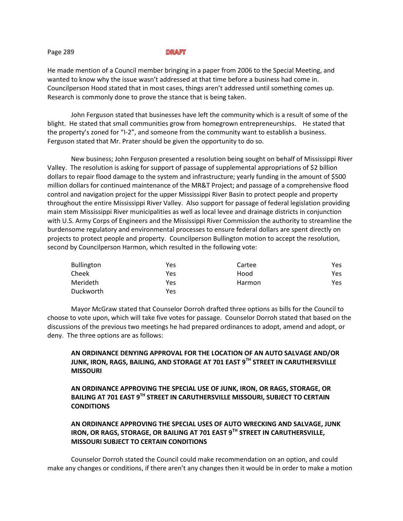He made mention of a Council member bringing in a paper from 2006 to the Special Meeting, and wanted to know why the issue wasn't addressed at that time before a business had come in. Councilperson Hood stated that in most cases, things aren't addressed until something comes up. Research is commonly done to prove the stance that is being taken.

John Ferguson stated that businesses have left the community which is a result of some of the blight. He stated that small communities grow from homegrown entrepreneurships. He stated that the property's zoned for "I-2", and someone from the community want to establish a business. Ferguson stated that Mr. Prater should be given the opportunity to do so.

New business; John Ferguson presented a resolution being sought on behalf of Mississippi River Valley. The resolution is asking for support of passage of supplemental appropriations of \$2 billion dollars to repair flood damage to the system and infrastructure; yearly funding in the amount of \$500 million dollars for continued maintenance of the MR&T Project; and passage of a comprehensive flood control and navigation project for the upper Mississippi River Basin to protect people and property throughout the entire Mississippi River Valley. Also support for passage of federal legislation providing main stem Mississippi River municipalities as well as local levee and drainage districts in conjunction with U.S. Army Corps of Engineers and the Mississippi River Commission the authority to streamline the burdensome regulatory and environmental processes to ensure federal dollars are spent directly on projects to protect people and property. Councilperson Bullington motion to accept the resolution, second by Councilperson Harmon, which resulted in the following vote:

| <b>Bullington</b> | Yes | Cartee | Yes |
|-------------------|-----|--------|-----|
| Cheek             | Yes | Hood   | Yes |
| Merideth          | Yes | Harmon | Yes |
| Duckworth         | Yes |        |     |

Mayor McGraw stated that Counselor Dorroh drafted three options as bills for the Council to choose to vote upon, which will take five votes for passage. Counselor Dorroh stated that based on the discussions of the previous two meetings he had prepared ordinances to adopt, amend and adopt, or deny. The three options are as follows:

# **AN ORDINANCE DENYING APPROVAL FOR THE LOCATION OF AN AUTO SALVAGE AND/OR JUNK, IRON, RAGS, BAILING, AND STORAGE AT 701 EAST 9TH STREET IN CARUTHERSVILLE MISSOURI**

**AN ORDINANCE APPROVING THE SPECIAL USE OF JUNK, IRON, OR RAGS, STORAGE, OR BAILING AT 701 EAST 9TH STREET IN CARUTHERSVILLE MISSOURI, SUBJECT TO CERTAIN CONDITIONS**

# **AN ORDINANCE APPROVING THE SPECIAL USES OF AUTO WRECKING AND SALVAGE, JUNK IRON, OR RAGS, STORAGE, OR BAILING AT 701 EAST 9TH STREET IN CARUTHERSVILLE, MISSOURI SUBJECT TO CERTAIN CONDITIONS**

Counselor Dorroh stated the Council could make recommendation on an option, and could make any changes or conditions, if there aren't any changes then it would be in order to make a motion

#### Page 289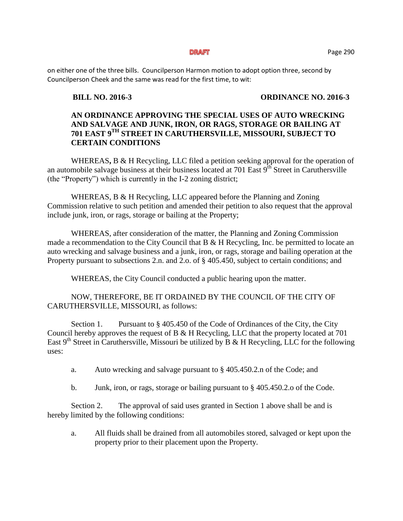on either one of the three bills. Councilperson Harmon motion to adopt option three, second by Councilperson Cheek and the same was read for the first time, to wit:

## **BILL NO. 2016-3 ORDINANCE NO. 2016-3**

# **AN ORDINANCE APPROVING THE SPECIAL USES OF AUTO WRECKING AND SALVAGE AND JUNK, IRON, OR RAGS, STORAGE OR BAILING AT 701 EAST 9TH STREET IN CARUTHERSVILLE, MISSOURI, SUBJECT TO CERTAIN CONDITIONS**

WHEREAS**,** B & H Recycling, LLC filed a petition seeking approval for the operation of an automobile salvage business at their business located at 701 East 9<sup>th</sup> Street in Caruthersville (the "Property") which is currently in the I-2 zoning district;

WHEREAS, B & H Recycling, LLC appeared before the Planning and Zoning Commission relative to such petition and amended their petition to also request that the approval include junk, iron, or rags, storage or bailing at the Property;

WHEREAS, after consideration of the matter, the Planning and Zoning Commission made a recommendation to the City Council that  $B \& H$  Recycling, Inc. be permitted to locate an auto wrecking and salvage business and a junk, iron, or rags, storage and bailing operation at the Property pursuant to subsections 2.n. and 2.o. of § 405.450, subject to certain conditions; and

WHEREAS, the City Council conducted a public hearing upon the matter.

NOW, THEREFORE, BE IT ORDAINED BY THE COUNCIL OF THE CITY OF CARUTHERSVILLE, MISSOURI, as follows:

Section 1. Pursuant to  $\S 405.450$  of the Code of Ordinances of the City, the City Council hereby approves the request of B & H Recycling, LLC that the property located at 701 East  $9<sup>th</sup>$  Street in Caruthersville, Missouri be utilized by B & H Recycling, LLC for the following uses:

- a. Auto wrecking and salvage pursuant to § 405.450.2.n of the Code; and
- b. Junk, iron, or rags, storage or bailing pursuant to § 405.450.2.o of the Code.

Section 2. The approval of said uses granted in Section 1 above shall be and is hereby limited by the following conditions:

a. All fluids shall be drained from all automobiles stored, salvaged or kept upon the property prior to their placement upon the Property.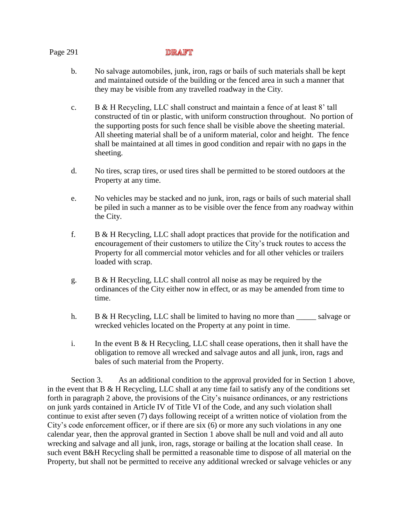- b. No salvage automobiles, junk, iron, rags or bails of such materials shall be kept and maintained outside of the building or the fenced area in such a manner that they may be visible from any travelled roadway in the City.
- c. B & H Recycling, LLC shall construct and maintain a fence of at least 8' tall constructed of tin or plastic, with uniform construction throughout. No portion of the supporting posts for such fence shall be visible above the sheeting material. All sheeting material shall be of a uniform material, color and height. The fence shall be maintained at all times in good condition and repair with no gaps in the sheeting.
- d. No tires, scrap tires, or used tires shall be permitted to be stored outdoors at the Property at any time.
- e. No vehicles may be stacked and no junk, iron, rags or bails of such material shall be piled in such a manner as to be visible over the fence from any roadway within the City.
- f. B & H Recycling, LLC shall adopt practices that provide for the notification and encouragement of their customers to utilize the City's truck routes to access the Property for all commercial motor vehicles and for all other vehicles or trailers loaded with scrap.
- g. B & H Recycling, LLC shall control all noise as may be required by the ordinances of the City either now in effect, or as may be amended from time to time.
- h. B & H Recycling, LLC shall be limited to having no more than salvage or wrecked vehicles located on the Property at any point in time.
- i. In the event B & H Recycling, LLC shall cease operations, then it shall have the obligation to remove all wrecked and salvage autos and all junk, iron, rags and bales of such material from the Property.

Section 3. As an additional condition to the approval provided for in Section 1 above, in the event that B & H Recycling, LLC shall at any time fail to satisfy any of the conditions set forth in paragraph 2 above, the provisions of the City's nuisance ordinances, or any restrictions on junk yards contained in Article IV of Title VI of the Code, and any such violation shall continue to exist after seven (7) days following receipt of a written notice of violation from the City's code enforcement officer, or if there are six (6) or more any such violations in any one calendar year, then the approval granted in Section 1 above shall be null and void and all auto wrecking and salvage and all junk, iron, rags, storage or bailing at the location shall cease. In such event B&H Recycling shall be permitted a reasonable time to dispose of all material on the Property, but shall not be permitted to receive any additional wrecked or salvage vehicles or any

## Page 291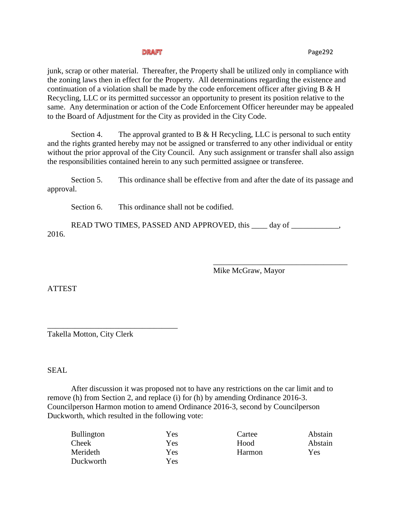junk, scrap or other material. Thereafter, the Property shall be utilized only in compliance with the zoning laws then in effect for the Property. All determinations regarding the existence and continuation of a violation shall be made by the code enforcement officer after giving B & H Recycling, LLC or its permitted successor an opportunity to present its position relative to the same. Any determination or action of the Code Enforcement Officer hereunder may be appealed to the Board of Adjustment for the City as provided in the City Code.

Section 4. The approval granted to B  $\&$  H Recycling, LLC is personal to such entity and the rights granted hereby may not be assigned or transferred to any other individual or entity without the prior approval of the City Council. Any such assignment or transfer shall also assign the responsibilities contained herein to any such permitted assignee or transferee.

Section 5. This ordinance shall be effective from and after the date of its passage and approval.

Section 6. This ordinance shall not be codified.

READ TWO TIMES, PASSED AND APPROVED, this \_\_\_\_ day of \_\_\_\_\_\_\_\_\_\_\_, 2016.

Mike McGraw, Mayor

\_\_\_\_\_\_\_\_\_\_\_\_\_\_\_\_\_\_\_\_\_\_\_\_\_\_\_\_\_\_\_\_\_\_

ATTEST

\_\_\_\_\_\_\_\_\_\_\_\_\_\_\_\_\_\_\_\_\_\_\_\_\_\_\_\_\_\_\_\_\_ Takella Motton, City Clerk

SEAL

After discussion it was proposed not to have any restrictions on the car limit and to remove (h) from Section 2, and replace (i) for (h) by amending Ordinance 2016-3. Councilperson Harmon motion to amend Ordinance 2016-3, second by Councilperson Duckworth, which resulted in the following vote:

| Yes | Cartee | Abstain |
|-----|--------|---------|
| Yes | Hood   | Abstain |
| Yes | Harmon | Yes     |
| Yes |        |         |
|     |        |         |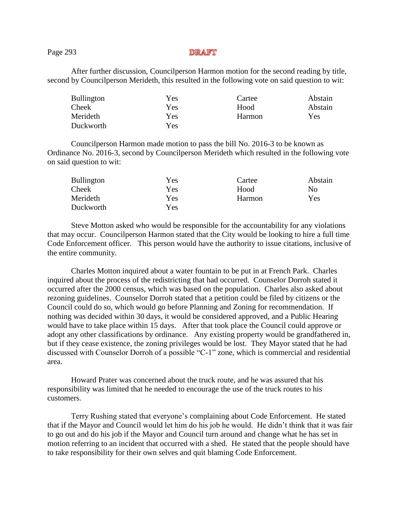## Page 293

After further discussion, Councilperson Harmon motion for the second reading by title, second by Councilperson Merideth, this resulted in the following vote on said question to wit:

| <b>Bullington</b> | Yes  | Cartee        | Abstain |
|-------------------|------|---------------|---------|
| Cheek             | Yes  | Hood          | Abstain |
| Merideth          | Yes  | <b>Harmon</b> | Yes     |
| Duckworth         | Yes. |               |         |

Councilperson Harmon made motion to pass the bill No. 2016-3 to be known as Ordinance No. 2016-3, second by Councilperson Merideth which resulted in the following vote on said question to wit:

| <b>Bullington</b> | Yes | Cartee | Abstain |
|-------------------|-----|--------|---------|
| Cheek             | Yes | Hood   | Nο      |
| Merideth          | Yes | Harmon | Yes     |
| Duckworth         | Yes |        |         |

Steve Motton asked who would be responsible for the accountability for any violations that may occur. Councilperson Harmon stated that the City would be looking to hire a full time Code Enforcement officer. This person would have the authority to issue citations, inclusive of the entire community.

Charles Motton inquired about a water fountain to be put in at French Park. Charles inquired about the process of the redistricting that had occurred. Counselor Dorroh stated it occurred after the 2000 census, which was based on the population. Charles also asked about rezoning guidelines. Counselor Dorroh stated that a petition could be filed by citizens or the Council could do so, which would go before Planning and Zoning for recommendation. If nothing was decided within 30 days, it would be considered approved, and a Public Hearing would have to take place within 15 days. After that took place the Council could approve or adopt any other classifications by ordinance. Any existing property would be grandfathered in, but if they cease existence, the zoning privileges would be lost. They Mayor stated that he had discussed with Counselor Dorroh of a possible "C-1" zone, which is commercial and residential area.

Howard Prater was concerned about the truck route, and he was assured that his responsibility was limited that he needed to encourage the use of the truck routes to his customers.

Terry Rushing stated that everyone's complaining about Code Enforcement. He stated that if the Mayor and Council would let him do his job he would. He didn't think that it was fair to go out and do his job if the Mayor and Council turn around and change what he has set in motion referring to an incident that occurred with a shed. He stated that the people should have to take responsibility for their own selves and quit blaming Code Enforcement.